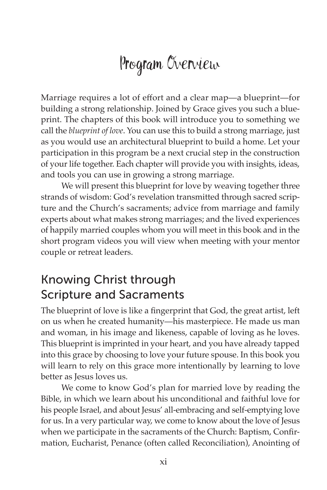## Program Overview

Marriage requires a lot of effort and a clear map—a blueprint—for building a strong relationship. Joined by Grace gives you such a blueprint. The chapters of this book will introduce you to something we call the *blueprint of love*. You can use this to build a strong marriage, just as you would use an architectural blueprint to build a home. Let your participation in this program be a next crucial step in the construction of your life together. Each chapter will provide you with insights, ideas, and tools you can use in growing a strong marriage.

We will present this blueprint for love by weaving together three strands of wisdom: God's revelation transmitted through sacred scripture and the Church's sacraments; advice from marriage and family experts about what makes strong marriages; and the lived experiences of happily married couples whom you will meet in this book and in the short program videos you will view when meeting with your mentor couple or retreat leaders.

#### Knowing Christ through Scripture and Sacraments

The blueprint of love is like a fingerprint that God, the great artist, left on us when he created humanity—his masterpiece. He made us man and woman, in his image and likeness, capable of loving as he loves. This blueprint is imprinted in your heart, and you have already tapped into this grace by choosing to love your future spouse. In this book you will learn to rely on this grace more intentionally by learning to love better as Jesus loves us.

We come to know God's plan for married love by reading the Bible, in which we learn about his unconditional and faithful love for his people Israel, and about Jesus' all-embracing and self-emptying love for us. In a very particular way, we come to know about the love of Jesus when we participate in the sacraments of the Church: Baptism, Confirmation, Eucharist, Penance (often called Reconciliation), Anointing of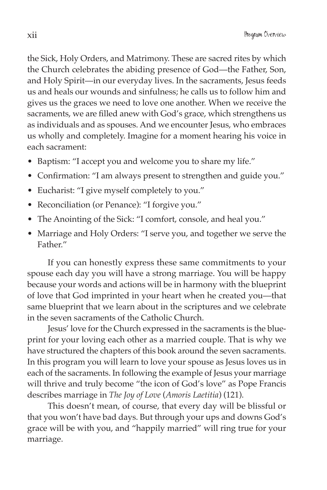the Sick, Holy Orders, and Matrimony. These are sacred rites by which the Church celebrates the abiding presence of God—the Father, Son, and Holy Spirit—in our everyday lives. In the sacraments, Jesus feeds us and heals our wounds and sinfulness; he calls us to follow him and gives us the graces we need to love one another. When we receive the sacraments, we are filled anew with God's grace, which strengthens us as individuals and as spouses. And we encounter Jesus, who embraces us wholly and completely. Imagine for a moment hearing his voice in each sacrament:

- Baptism: "I accept you and welcome you to share my life."
- Confirmation: "I am always present to strengthen and guide you."
- Eucharist: "I give myself completely to you."
- Reconciliation (or Penance): "I forgive you."
- The Anointing of the Sick: "I comfort, console, and heal you."
- Marriage and Holy Orders: "I serve you, and together we serve the Father."

If you can honestly express these same commitments to your spouse each day you will have a strong marriage. You will be happy because your words and actions will be in harmony with the blueprint of love that God imprinted in your heart when he created you—that same blueprint that we learn about in the scriptures and we celebrate in the seven sacraments of the Catholic Church.

Jesus' love for the Church expressed in the sacraments is the blueprint for your loving each other as a married couple. That is why we have structured the chapters of this book around the seven sacraments. In this program you will learn to love your spouse as Jesus loves us in each of the sacraments. In following the example of Jesus your marriage will thrive and truly become "the icon of God's love" as Pope Francis describes marriage in *The Joy of Love* (*Amoris Laetitia*) (121).

This doesn't mean, of course, that every day will be blissful or that you won't have bad days. But through your ups and downs God's grace will be with you, and "happily married" will ring true for your marriage.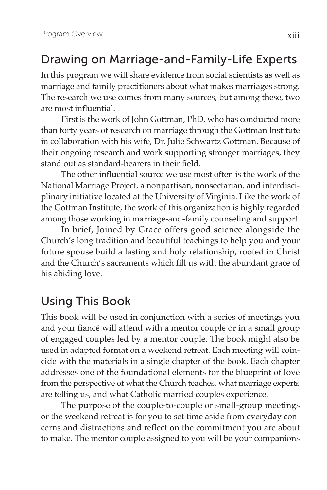#### Drawing on Marriage-and-Family-Life Experts

In this program we will share evidence from social scientists as well as marriage and family practitioners about what makes marriages strong. The research we use comes from many sources, but among these, two are most influential.

First is the work of John Gottman, PhD, who has conducted more than forty years of research on marriage through the Gottman Institute in collaboration with his wife, Dr. Julie Schwartz Gottman. Because of their ongoing research and work supporting stronger marriages, they stand out as standard-bearers in their field.

The other influential source we use most often is the work of the National Marriage Project, a nonpartisan, nonsectarian, and interdisciplinary initiative located at the University of Virginia. Like the work of the Gottman Institute, the work of this organization is highly regarded among those working in marriage-and-family counseling and support.

In brief, Joined by Grace offers good science alongside the Church's long tradition and beautiful teachings to help you and your future spouse build a lasting and holy relationship, rooted in Christ and the Church's sacraments which fill us with the abundant grace of his abiding love.

### Using This Book

This book will be used in conjunction with a series of meetings you and your fiancé will attend with a mentor couple or in a small group of engaged couples led by a mentor couple. The book might also be used in adapted format on a weekend retreat. Each meeting will coincide with the materials in a single chapter of the book. Each chapter addresses one of the foundational elements for the blueprint of love from the perspective of what the Church teaches, what marriage experts are telling us, and what Catholic married couples experience.

The purpose of the couple-to-couple or small-group meetings or the weekend retreat is for you to set time aside from everyday concerns and distractions and reflect on the commitment you are about to make. The mentor couple assigned to you will be your companions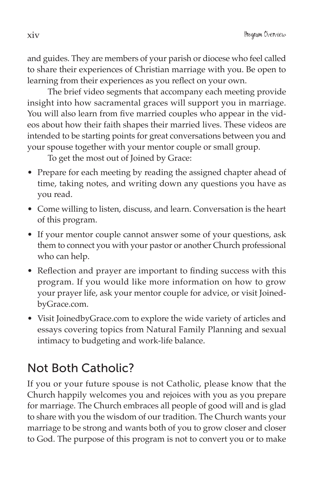and guides. They are members of your parish or diocese who feel called to share their experiences of Christian marriage with you. Be open to learning from their experiences as you reflect on your own.

The brief video segments that accompany each meeting provide insight into how sacramental graces will support you in marriage. You will also learn from five married couples who appear in the videos about how their faith shapes their married lives. These videos are intended to be starting points for great conversations between you and your spouse together with your mentor couple or small group.

To get the most out of Joined by Grace:

- Prepare for each meeting by reading the assigned chapter ahead of time, taking notes, and writing down any questions you have as you read.
- Come willing to listen, discuss, and learn. Conversation is the heart of this program.
- If your mentor couple cannot answer some of your questions, ask them to connect you with your pastor or another Church professional who can help.
- Reflection and prayer are important to finding success with this program. If you would like more information on how to grow your prayer life, ask your mentor couple for advice, or visit JoinedbyGrace.com.
- Visit JoinedbyGrace.com to explore the wide variety of articles and essays covering topics from Natural Family Planning and sexual intimacy to budgeting and work-life balance.

### Not Both Catholic?

If you or your future spouse is not Catholic, please know that the Church happily welcomes you and rejoices with you as you prepare for marriage. The Church embraces all people of good will and is glad to share with you the wisdom of our tradition. The Church wants your marriage to be strong and wants both of you to grow closer and closer to God. The purpose of this program is not to convert you or to make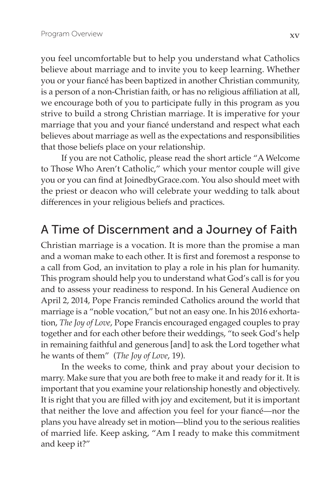you feel uncomfortable but to help you understand what Catholics believe about marriage and to invite you to keep learning. Whether you or your fiancé has been baptized in another Christian community, is a person of a non-Christian faith, or has no religious affiliation at all, we encourage both of you to participate fully in this program as you strive to build a strong Christian marriage. It is imperative for your marriage that you and your fiancé understand and respect what each believes about marriage as well as the expectations and responsibilities that those beliefs place on your relationship.

If you are not Catholic, please read the short article "A Welcome to Those Who Aren't Catholic," which your mentor couple will give you or you can find at JoinedbyGrace.com. You also should meet with the priest or deacon who will celebrate your wedding to talk about differences in your religious beliefs and practices.

#### A Time of Discernment and a Journey of Faith

Christian marriage is a vocation. It is more than the promise a man and a woman make to each other. It is first and foremost a response to a call from God, an invitation to play a role in his plan for humanity. This program should help you to understand what God's call is for you and to assess your readiness to respond. In his General Audience on April 2, 2014, Pope Francis reminded Catholics around the world that marriage is a "noble vocation," but not an easy one. In his 2016 exhortation, *The Joy of Love*, Pope Francis encouraged engaged couples to pray together and for each other before their weddings, "to seek God's help in remaining faithful and generous [and] to ask the Lord together what he wants of them" (*The Joy of Love*, 19).

In the weeks to come, think and pray about your decision to marry. Make sure that you are both free to make it and ready for it. It is important that you examine your relationship honestly and objectively. It is right that you are filled with joy and excitement, but it is important that neither the love and affection you feel for your fiancé—nor the plans you have already set in motion—blind you to the serious realities of married life. Keep asking, "Am I ready to make this commitment and keep it?"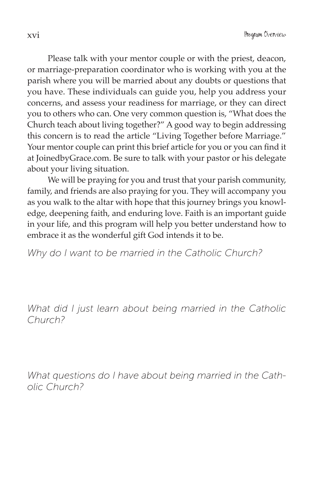Please talk with your mentor couple or with the priest, deacon, or marriage-preparation coordinator who is working with you at the parish where you will be married about any doubts or questions that you have. These individuals can guide you, help you address your concerns, and assess your readiness for marriage, or they can direct you to others who can. One very common question is, "What does the Church teach about living together?" A good way to begin addressing this concern is to read the article "Living Together before Marriage." Your mentor couple can print this brief article for you or you can find it at JoinedbyGrace.com. Be sure to talk with your pastor or his delegate about your living situation.

We will be praying for you and trust that your parish community, family, and friends are also praying for you. They will accompany you as you walk to the altar with hope that this journey brings you knowledge, deepening faith, and enduring love. Faith is an important guide in your life, and this program will help you better understand how to embrace it as the wonderful gift God intends it to be.

*Why do I want to be married in the Catholic Church?*

*What did I just learn about being married in the Catholic Church?*

*What questions do I have about being married in the Catholic Church?*